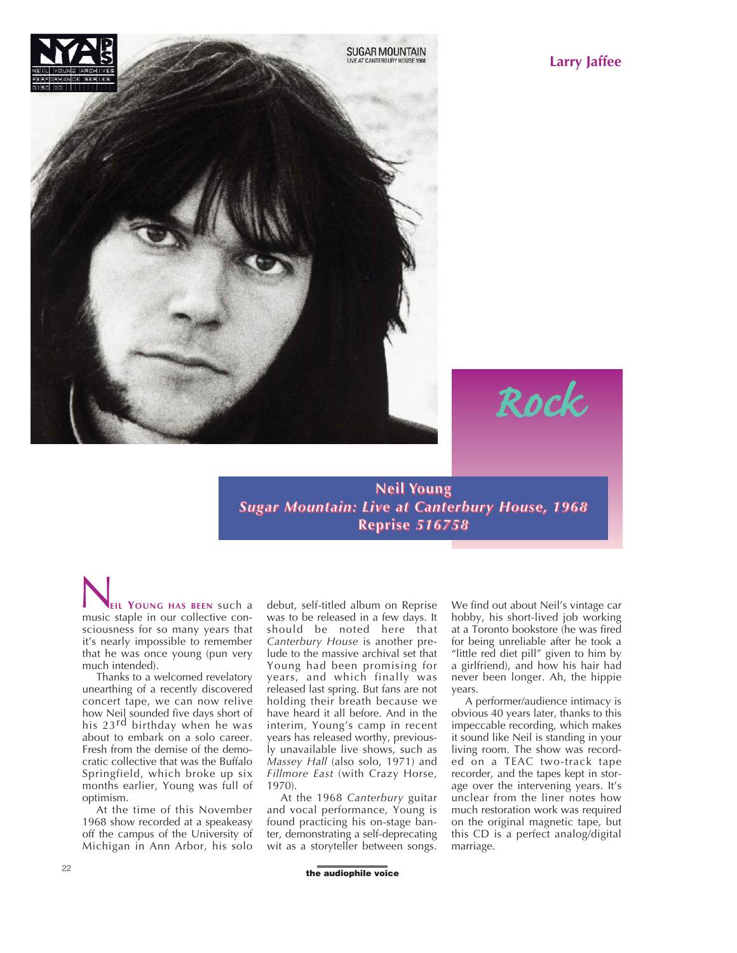

**Larry Jaffee**

**Neil Young** *Sugar Mountain: Live at Canterbury House, 1968* **Reprise** *516758*

**EIL YOUNG HAS BEEN** such a **MUSICAL SUBSERV SUCH A SUBSERV SUCH A SUBSERV** SUCH a MUSIC STAP sciousness for so many years that it's nearly impossible to remember that he was once young (pun very much intended).

Thanks to a welcomed revelatory unearthing of a recently discovered concert tape, we can now relive how Neil sounded five days short of his 23<sup>rd</sup> birthday when he was about to embark on a solo career. Fresh from the demise of the democratic collective that was the Buffalo Springfield, which broke up six months earlier, Young was full of optimism.

At the time of this November 1968 show recorded at a speakeasy off the campus of the University of Michigan in Ann Arbor, his solo

debut, self-titled album on Reprise was to be released in a few days. It should be noted here that *Canterbury House* is another prelude to the massive archival set that Young had been promising for years, and which finally was released last spring. But fans are not holding their breath because we have heard it all before. And in the interim, Young's camp in recent years has released worthy, previously unavailable live shows, such as *Massey Hall* (also solo, 1971) and *Fillmore East* (with Crazy Horse, 1970).

At the 1968 *Canterbury* guitar and vocal performance, Young is found practicing his on-stage banter, demonstrating a self-deprecating wit as a storyteller between songs. We find out about Neil's vintage car hobby, his short-lived job working at a Toronto bookstore (he was fired for being unreliable after he took a "little red diet pill" given to him by a girlfriend), and how his hair had never been longer. Ah, the hippie years.

*Rock*

A performer/audience intimacy is obvious 40 years later, thanks to this impeccable recording, which makes it sound like Neil is standing in your living room. The show was recorded on a TEAC two-track tape recorder, and the tapes kept in storage over the intervening years. It's unclear from the liner notes how much restoration work was required on the original magnetic tape, but this CD is a perfect analog/digital marriage.

**the audiophile voice**<br> **the audiophile voice**